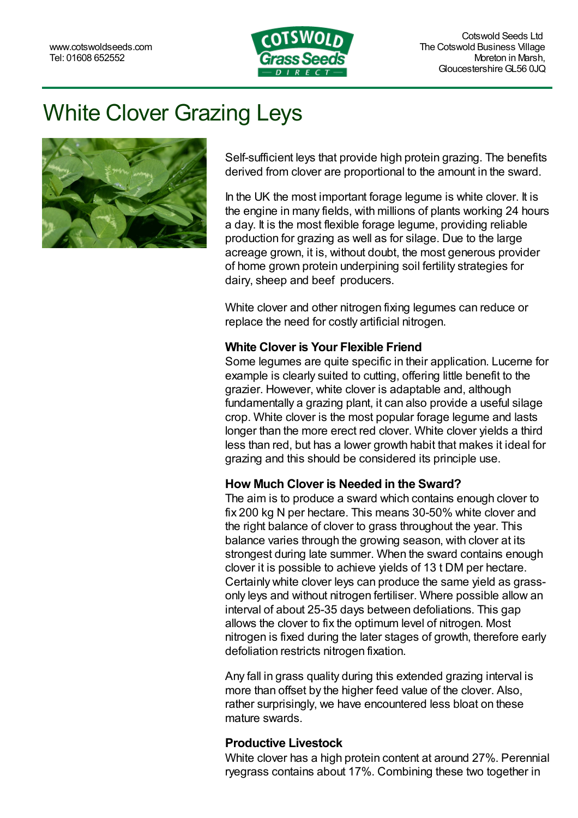

# White Clover Grazing Leys



Self-sufficient leys that provide high protein grazing. The benefits derived from clover are proportional to the amount in the sward.

In the UK the most important forage legume is white clover. It is the engine in many fields, with millions of plants working 24 hours a day. It is the most flexible forage legume, providing reliable production for grazing as well as for silage. Due to the large acreage grown, it is, without doubt, the most generous provider of home grown protein underpining soil fertility strategies for dairy, sheep and beef producers.

White clover and other nitrogen fixing legumes can reduce or replace the need for costly artificial nitrogen.

#### **White Clover is Your Flexible Friend**

Some legumes are quite specific in their application. [Lucerne](https://www.cotswoldseeds.com/articles/86/%3Cdfn%3E%3Cabbr%20title=) for example is clearly suited to cutting, offering little benefit to the grazier. However, white clover is adaptable and, although fundamentally a grazing plant, it can also provide a useful silage crop. White clover is the most popular forage legume and lasts longer than the more erect red [clover.](https://www.cotswoldseeds.com/products/410/red-clover-ley-three-four-year-mixture) White clover yields a third less than red, but has a lower growth habit that makes it ideal for grazing and this should be considered its principle use.

#### **How Much Clover is Needed in the Sward?**

The aim is to produce a sward which contains enough clover to fix 200 kg N per hectare. This means 30-50% white clover and the right balance of clover to grass throughout the year. This balance varies through the growing season, with clover at its strongest during late summer. When the sward contains enough clover it is possible to achieve yields of 13 t DM per hectare. Certainly white clover leys can produce the same yield as grassonly leys and without nitrogen fertiliser. Where possible allow an interval of about 25-35 days between defoliations. This gap allows the clover to fix the optimum level of nitrogen. Most nitrogen is fixed during the later stages of growth, therefore early defoliation restricts nitrogen fixation.

Any fall in grass quality during this extended grazing interval is more than offset by the higher feed value of the clover. Also, rather surprisingly, we have encountered less bloat on these mature swards.

#### **Productive Livestock**

White clover has a high protein content at around 27%. Perennial ryegrass contains about 17%. Combining these two together in